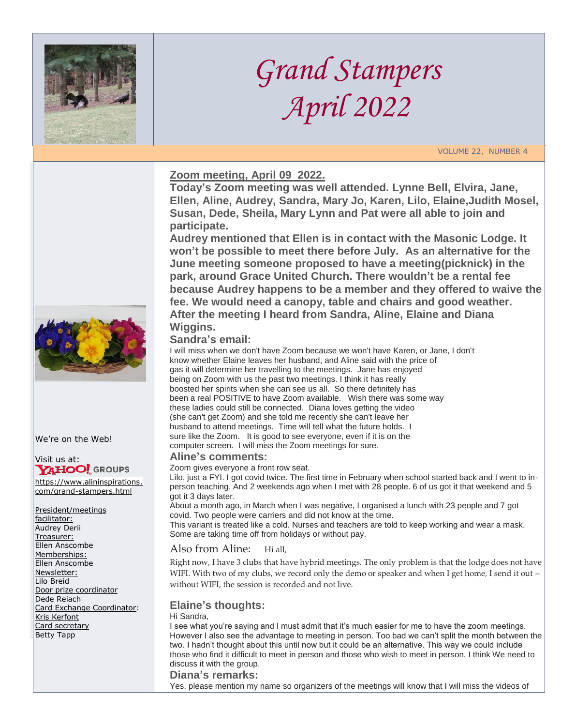

# *Grand Stampers April 2022*

VOLUME 22, NUMBER 4

## **Zoom meeting, April 09 2022.**

**Today's Zoom meeting was well attended. Lynne Bell, Elvira, Jane, Ellen, Aline, Audrey, Sandra, Mary Jo, Karen, Lilo, Elaine,Judith Mosel, Susan, Dede, Sheila, Mary Lynn and Pat were all able to join and participate.** 

**Audrey mentioned that Ellen is in contact with the Masonic Lodge. It won't be possible to meet there before July. As an alternative for the June meeting someone proposed to have a meeting(picknick) in the park, around Grace United Church. There wouldn't be a rental fee because Audrey happens to be a member and they offered to waive the fee. We would need a canopy, table and chairs and good weather. After the meeting I heard from Sandra, Aline, Elaine and Diana Wiggins.** 

### **Sandra's email:**

I will miss when we don't have Zoom because we won't have Karen, or Jane, I don't know whether Elaine leaves her husband, and Aline said with the price of gas it will determine her travelling to the meetings. Jane has enjoyed being on Zoom with us the past two meetings. I think it has really boosted her spirits when she can see us all. So there definitely has been a real POSITIVE to have Zoom available. Wish there was some way these ladies could still be connected. Diana loves getting the video (she can't get Zoom) and she told me recently she can't leave her husband to attend meetings. Time will tell what the future holds. I sure like the Zoom. It is good to see everyone, even if it is on the computer screen. I will miss the Zoom meetings for sure.

### **Aline's comments:**

#### Zoom gives everyone a front row seat.

Lilo, just a FYI. I got covid twice. The first time in February when school started back and I went to inperson teaching. And 2 weekends ago when I met with 28 people. 6 of us got it that weekend and 5 got it 3 days later.

About a month ago, in March when I was negative, I organised a lunch with 23 people and 7 got covid. Two people were carriers and did not know at the time.

This variant is treated like a cold. Nurses and teachers are told to keep working and wear a mask. Some are taking time off from holidays or without pay.

#### Also from Aline: Hi all,

Right now, I have 3 clubs that have hybrid meetings. The only problem is that the lodge does not have WIFI. With two of my clubs, we record only the demo or speaker and when I get home, I send it out – without WIFI, the session is recorded and not live.

### **Elaine's thoughts:**

#### Hi Sandra,

I see what you're saying and I must admit that it's much easier for me to have the zoom meetings. However I also see the advantage to meeting in person. Too bad we can't split the month between the two. I hadn't thought about this until now but it could be an alternative. This way we could include those who find it difficult to meet in person and those who wish to meet in person. I think We need to discuss it with the group.

### **Diana's remarks:**

Yes, please mention my name so organizers of the meetings will know that I will miss the videos of



We're on the Web!

# Visit us at:<br>**YAHOO!** GROUPS

[https://www.alininspirations.](https://www.alininspirations.com/grand-stampers.html) [com/grand-stampers.html](https://www.alininspirations.com/grand-stampers.html)

President/meetings facilitator: Audrey Derii Treasurer: Ellen Anscombe Memberships: Ellen Anscombe Newsletter: Lilo Breid Door prize coordinator Dede Reiach Card Exchange Coordinator: Kris Kerfont Card secretary Betty Tapp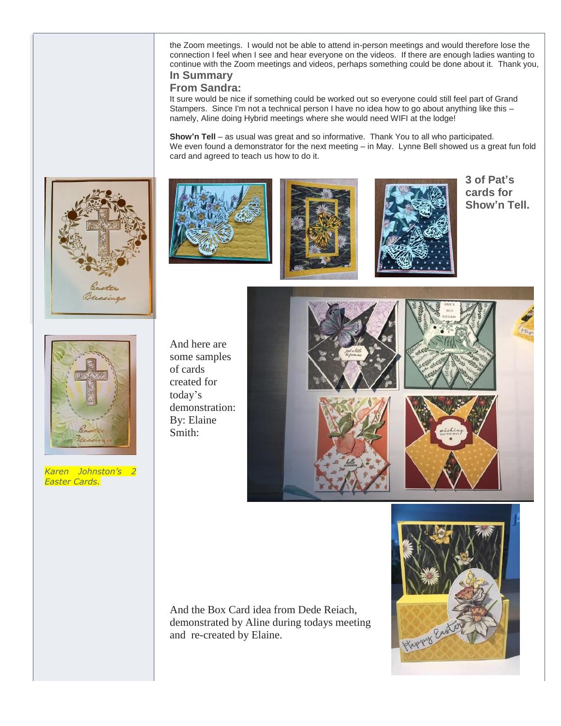the Zoom meetings. I would not be able to attend in-person meetings and would therefore lose the connection I feel when I see and hear everyone on the videos. If there are enough ladies wanting to continue with the Zoom meetings and videos, perhaps something could be done about it. Thank you, **In Summary** 

# **From Sandra:**

It sure would be nice if something could be worked out so everyone could still feel part of Grand Stampers. Since I'm not a technical person I have no idea how to go about anything like this – namely, Aline doing Hybrid meetings where she would need WIFI at the lodge!

**Show'n Tell** – as usual was great and so informative. Thank You to all who participated. We even found a demonstrator for the next meeting – in May. Lynne Bell showed us a great fun fold card and agreed to teach us how to do it.









**3 of Pat's cards for Show'n Tell.**



*Karen Johnston's 2 Easter Cards.*

And here are some samples of cards created for today's demonstration: By: Elaine Smith:



And the Box Card idea from Dede Reiach, demonstrated by Aline during todays meeting and re-created by Elaine.